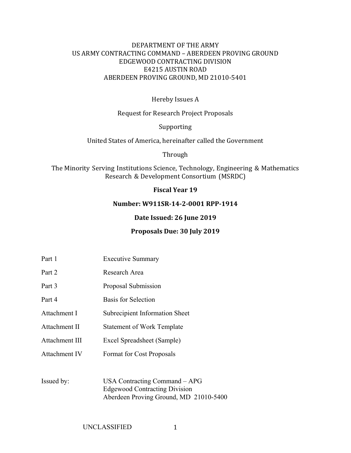### DEPARTMENT OF THE ARMY US ARMY CONTRACTING COMMAND - ABERDEEN PROVING GROUND EDGEWOOD CONTRACTING DIVISION E4215 AUSTIN ROAD ABERDEEN PROVING GROUND, MD 21010-5401

### Hereby Issues A

Request for Research Project Proposals

Supporting 

United States of America, hereinafter called the Government

Through 

The Minority Serving Institutions Science, Technology, Engineering & Mathematics Research & Development Consortium (MSRDC)

#### **Fiscal Year 19**

#### **Number: W911SR‐14‐2‐0001 RPP‐1914**

#### **Date Issued: 26 June 2019**

#### **Proposals Due: 30 July 2019**

- Part 1 Executive Summary
- Part 2 Research Area
- Part 3 Proposal Submission
- Part 4 Basis for Selection
- Attachment I Subrecipient Information Sheet
- Attachment II Statement of Work Template
- Attachment III Excel Spreadsheet (Sample)
- Attachment IV Format for Cost Proposals
- Issued by: USA Contracting Command APG Edgewood Contracting Division Aberdeen Proving Ground, MD 21010-5400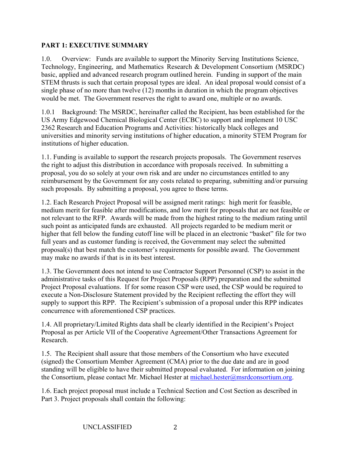### **PART 1: EXECUTIVE SUMMARY**

1.0. Overview: Funds are available to support the Minority Serving Institutions Science, Technology, Engineering, and Mathematics Research & Development Consortium (MSRDC) basic, applied and advanced research program outlined herein. Funding in support of the main STEM thrusts is such that certain proposal types are ideal. An ideal proposal would consist of a single phase of no more than twelve (12) months in duration in which the program objectives would be met. The Government reserves the right to award one, multiple or no awards.

1.0.1 Background: The MSRDC, hereinafter called the Recipient, has been established for the US Army Edgewood Chemical Biological Center (ECBC) to support and implement 10 USC 2362 Research and Education Programs and Activities: historically black colleges and universities and minority serving institutions of higher education, a minority STEM Program for institutions of higher education.

1.1. Funding is available to support the research projects proposals. The Government reserves the right to adjust this distribution in accordance with proposals received. In submitting a proposal, you do so solely at your own risk and are under no circumstances entitled to any reimbursement by the Government for any costs related to preparing, submitting and/or pursuing such proposals. By submitting a proposal, you agree to these terms.

1.2. Each Research Project Proposal will be assigned merit ratings: high merit for feasible, medium merit for feasible after modifications, and low merit for proposals that are not feasible or not relevant to the RFP. Awards will be made from the highest rating to the medium rating until such point as anticipated funds are exhausted. All projects regarded to be medium merit or higher that fell below the funding cutoff line will be placed in an electronic "basket" file for two full years and as customer funding is received, the Government may select the submitted proposal(s) that best match the customer's requirements for possible award. The Government may make no awards if that is in its best interest.

1.3. The Government does not intend to use Contractor Support Personnel (CSP) to assist in the administrative tasks of this Request for Project Proposals (RPP) preparation and the submitted Project Proposal evaluations. If for some reason CSP were used, the CSP would be required to execute a Non-Disclosure Statement provided by the Recipient reflecting the effort they will supply to support this RPP. The Recipient's submission of a proposal under this RPP indicates concurrence with aforementioned CSP practices.

1.4. All proprietary/Limited Rights data shall be clearly identified in the Recipient's Project Proposal as per Article VII of the Cooperative Agreement/Other Transactions Agreement for Research.

1.5. The Recipient shall assure that those members of the Consortium who have executed (signed) the Consortium Member Agreement (CMA) prior to the due date and are in good standing will be eligible to have their submitted proposal evaluated. For information on joining the Consortium, please contact Mr. Michael Hester at michael.hester@msrdconsortium.org.

1.6. Each project proposal must include a Technical Section and Cost Section as described in Part 3. Project proposals shall contain the following: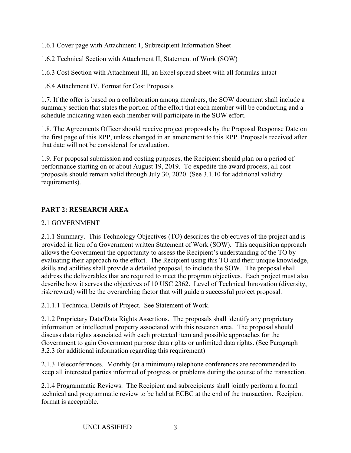1.6.1 Cover page with Attachment 1, Subrecipient Information Sheet

1.6.2 Technical Section with Attachment II, Statement of Work (SOW)

1.6.3 Cost Section with Attachment III, an Excel spread sheet with all formulas intact

1.6.4 Attachment IV, Format for Cost Proposals

1.7. If the offer is based on a collaboration among members, the SOW document shall include a summary section that states the portion of the effort that each member will be conducting and a schedule indicating when each member will participate in the SOW effort.

1.8. The Agreements Officer should receive project proposals by the Proposal Response Date on the first page of this RPP, unless changed in an amendment to this RPP. Proposals received after that date will not be considered for evaluation.

1.9. For proposal submission and costing purposes, the Recipient should plan on a period of performance starting on or about August 19, 2019. To expedite the award process, all cost proposals should remain valid through July 30, 2020. (See 3.1.10 for additional validity requirements).

## **PART 2: RESEARCH AREA**

## 2.1 GOVERNMENT

2.1.1 Summary. This Technology Objectives (TO) describes the objectives of the project and is provided in lieu of a Government written Statement of Work (SOW). This acquisition approach allows the Government the opportunity to assess the Recipient's understanding of the TO by evaluating their approach to the effort. The Recipient using this TO and their unique knowledge, skills and abilities shall provide a detailed proposal, to include the SOW. The proposal shall address the deliverables that are required to meet the program objectives. Each project must also describe how it serves the objectives of 10 USC 2362. Level of Technical Innovation (diversity, risk/reward) will be the overarching factor that will guide a successful project proposal.

2.1.1.1 Technical Details of Project. See Statement of Work.

2.1.2 Proprietary Data/Data Rights Assertions. The proposals shall identify any proprietary information or intellectual property associated with this research area. The proposal should discuss data rights associated with each protected item and possible approaches for the Government to gain Government purpose data rights or unlimited data rights. (See Paragraph 3.2.3 for additional information regarding this requirement)

2.1.3 Teleconferences. Monthly (at a minimum) telephone conferences are recommended to keep all interested parties informed of progress or problems during the course of the transaction.

2.1.4 Programmatic Reviews. The Recipient and subrecipients shall jointly perform a formal technical and programmatic review to be held at ECBC at the end of the transaction. Recipient format is acceptable.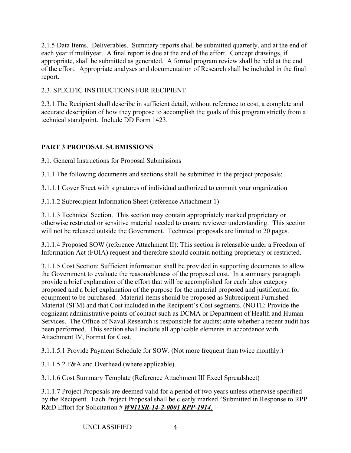2.1.5 Data Items. Deliverables. Summary reports shall be submitted quarterly, and at the end of each year if multiyear. A final report is due at the end of the effort. Concept drawings, if appropriate, shall be submitted as generated. A formal program review shall be held at the end of the effort. Appropriate analyses and documentation of Research shall be included in the final report.

# 2.3. SPECIFIC INSTRUCTIONS FOR RECIPIENT

2.3.1 The Recipient shall describe in sufficient detail, without reference to cost, a complete and accurate description of how they propose to accomplish the goals of this program strictly from a technical standpoint. Include DD Form 1423.

# **PART 3 PROPOSAL SUBMISSIONS**

3.1. General Instructions for Proposal Submissions

3.1.1 The following documents and sections shall be submitted in the project proposals:

3.1.1.1 Cover Sheet with signatures of individual authorized to commit your organization

3.1.1.2 Subrecipient Information Sheet (reference Attachment 1)

3.1.1.3 Technical Section. This section may contain appropriately marked proprietary or otherwise restricted or sensitive material needed to ensure reviewer understanding. This section will not be released outside the Government. Technical proposals are limited to 20 pages.

3.1.1.4 Proposed SOW (reference Attachment II): This section is releasable under a Freedom of Information Act (FOIA) request and therefore should contain nothing proprietary or restricted.

3.1.1.5 Cost Section: Sufficient information shall be provided in supporting documents to allow the Government to evaluate the reasonableness of the proposed cost. In a summary paragraph provide a brief explanation of the effort that will be accomplished for each labor category proposed and a brief explanation of the purpose for the material proposed and justification for equipment to be purchased. Material items should be proposed as Subrecipient Furnished Material (SFM) and that Cost included in the Recipient's Cost segments. (NOTE: Provide the cognizant administrative points of contact such as DCMA or Department of Health and Human Services. The Office of Naval Research is responsible for audits; state whether a recent audit has been performed. This section shall include all applicable elements in accordance with Attachment IV, Format for Cost.

3.1.1.5.1 Provide Payment Schedule for SOW. (Not more frequent than twice monthly.)

3.1.1.5.2 F&A and Overhead (where applicable).

3.1.1.6 Cost Summary Template (Reference Attachment III Excel Spreadsheet)

3.1.1.7 Project Proposals are deemed valid for a period of two years unless otherwise specified by the Recipient. Each Project Proposal shall be clearly marked "Submitted in Response to RPP R&D Effort for Solicitation # *W911SR-14-2-0001 RPP-1914.*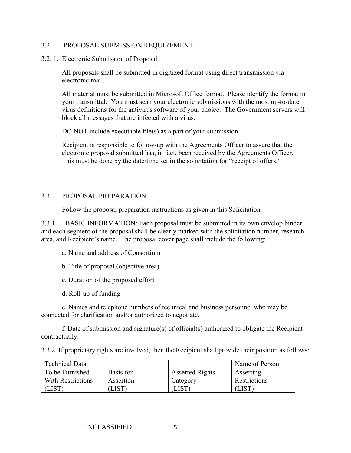#### 3.2. PROPOSAL SUBMISSION REQUIREMENT

3.2. 1. Electronic Submission of Proposal

All proposals shall be submitted in digitized format using direct transmission via electronic mail.

All material must be submitted in Microsoft Office format. Please identify the format in your transmittal. You must scan your electronic submissions with the most up-to-date virus definitions for the antivirus software of your choice. The Government servers will block all messages that are infected with a virus.

DO NOT include executable file(s) as a part of your submission.

Recipient is responsible to follow-up with the Agreements Officer to assure that the electronic proposal submitted has, in fact, been received by the Agreements Officer. This must be done by the date/time set in the solicitation for "receipt of offers."

### 3.3 PROPOSAL PREPARATION:

Follow the proposal preparation instructions as given in this Solicitation.

3.3.1 BASIC INFORMATION: Each proposal must be submitted in its own envelop binder and each segment of the proposal shall be clearly marked with the solicitation number, research area, and Recipient's name. The proposal cover page shall include the following:

- a. Name and address of Consortium
- b. Title of proposal (objective area)
- c. Duration of the proposed effort
- d. Roll-up of funding

e. Names and telephone numbers of technical and business personnel who may be connected for clarification and/or authorized to negotiate.

f. Date of submission and signature(s) of official(s) authorized to obligate the Recipient contractually.

3.3.2. If proprietary rights are involved, then the Recipient shall provide their position as follows:

| Technical Data    |                       |                        | Name of Person      |
|-------------------|-----------------------|------------------------|---------------------|
| To be Furnished   | Basis for             | <b>Asserted Rights</b> | Asserting           |
| With Restrictions | Assertion             | Category               | <b>Restrictions</b> |
|                   | $\lrcorner\text{IST}$ |                        |                     |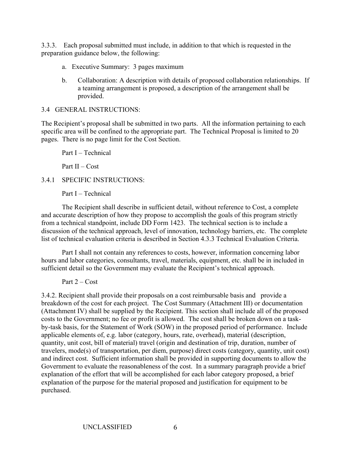3.3.3. Each proposal submitted must include, in addition to that which is requested in the preparation guidance below, the following:

- a. Executive Summary: 3 pages maximum
- b. Collaboration: A description with details of proposed collaboration relationships. If a teaming arrangement is proposed, a description of the arrangement shall be provided.

### 3.4 GENERAL INSTRUCTIONS:

The Recipient's proposal shall be submitted in two parts. All the information pertaining to each specific area will be confined to the appropriate part. The Technical Proposal is limited to 20 pages. There is no page limit for the Cost Section.

Part I – Technical

Part II – Cost

### 3.4.1 SPECIFIC INSTRUCTIONS:

Part I – Technical

The Recipient shall describe in sufficient detail, without reference to Cost, a complete and accurate description of how they propose to accomplish the goals of this program strictly from a technical standpoint, include DD Form 1423. The technical section is to include a discussion of the technical approach, level of innovation, technology barriers, etc. The complete list of technical evaluation criteria is described in Section 4.3.3 Technical Evaluation Criteria.

 Part I shall not contain any references to costs, however, information concerning labor hours and labor categories, consultants, travel, materials, equipment, etc. shall be in included in sufficient detail so the Government may evaluate the Recipient's technical approach.

Part  $2 - Cost$ 

3.4.2. Recipient shall provide their proposals on a cost reimbursable basis and provide a breakdown of the cost for each project. The Cost Summary (Attachment III) or documentation (Attachment IV) shall be supplied by the Recipient. This section shall include all of the proposed costs to the Government; no fee or profit is allowed. The cost shall be broken down on a taskby-task basis, for the Statement of Work (SOW) in the proposed period of performance. Include applicable elements of, e.g. labor (category, hours, rate, overhead), material (description, quantity, unit cost, bill of material) travel (origin and destination of trip, duration, number of travelers, mode(s) of transportation, per diem, purpose) direct costs (category, quantity, unit cost) and indirect cost. Sufficient information shall be provided in supporting documents to allow the Government to evaluate the reasonableness of the cost. In a summary paragraph provide a brief explanation of the effort that will be accomplished for each labor category proposed, a brief explanation of the purpose for the material proposed and justification for equipment to be purchased.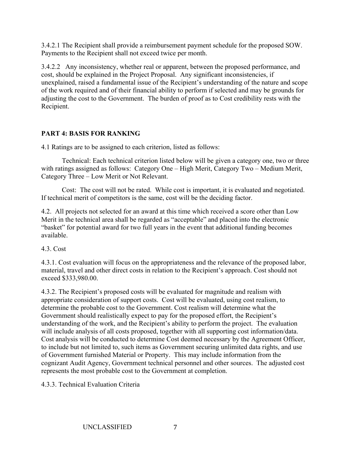3.4.2.1 The Recipient shall provide a reimbursement payment schedule for the proposed SOW. Payments to the Recipient shall not exceed twice per month.

3.4.2.2 Any inconsistency, whether real or apparent, between the proposed performance, and cost, should be explained in the Project Proposal. Any significant inconsistencies, if unexplained, raised a fundamental issue of the Recipient's understanding of the nature and scope of the work required and of their financial ability to perform if selected and may be grounds for adjusting the cost to the Government. The burden of proof as to Cost credibility rests with the Recipient.

### **PART 4: BASIS FOR RANKING**

4.1 Ratings are to be assigned to each criterion, listed as follows:

Technical: Each technical criterion listed below will be given a category one, two or three with ratings assigned as follows: Category One – High Merit, Category Two – Medium Merit, Category Three – Low Merit or Not Relevant.

Cost: The cost will not be rated. While cost is important, it is evaluated and negotiated. If technical merit of competitors is the same, cost will be the deciding factor.

4.2. All projects not selected for an award at this time which received a score other than Low Merit in the technical area shall be regarded as "acceptable" and placed into the electronic "basket" for potential award for two full years in the event that additional funding becomes available.

4.3. Cost

4.3.1. Cost evaluation will focus on the appropriateness and the relevance of the proposed labor, material, travel and other direct costs in relation to the Recipient's approach. Cost should not exceed \$333,980.00.

4.3.2. The Recipient's proposed costs will be evaluated for magnitude and realism with appropriate consideration of support costs. Cost will be evaluated, using cost realism, to determine the probable cost to the Government. Cost realism will determine what the Government should realistically expect to pay for the proposed effort, the Recipient's understanding of the work, and the Recipient's ability to perform the project. The evaluation will include analysis of all costs proposed, together with all supporting cost information/data. Cost analysis will be conducted to determine Cost deemed necessary by the Agreement Officer, to include but not limited to, such items as Government securing unlimited data rights, and use of Government furnished Material or Property. This may include information from the cognizant Audit Agency, Government technical personnel and other sources. The adjusted cost represents the most probable cost to the Government at completion.

4.3.3. Technical Evaluation Criteria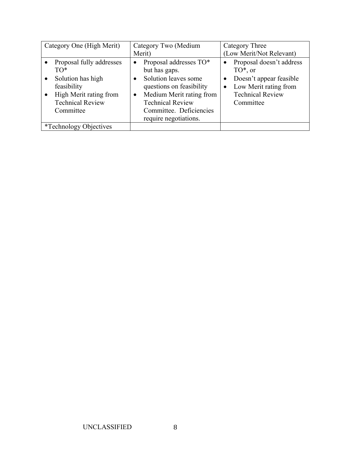| Category One (High Merit) |                                | Category Two (Medium<br>Merit) |                          |  | <b>Category Three</b><br>(Low Merit/Not Relevant) |  |  |  |  |
|---------------------------|--------------------------------|--------------------------------|--------------------------|--|---------------------------------------------------|--|--|--|--|
|                           | Proposal fully addresses       |                                | Proposal addresses TO*   |  | Proposal doesn't address                          |  |  |  |  |
|                           | TO*                            |                                | but has gaps.            |  | $TO^*$ , or                                       |  |  |  |  |
| $\bullet$                 | Solution has high              |                                | Solution leaves some     |  | Doesn't appear feasible                           |  |  |  |  |
|                           | feasibility                    |                                | questions on feasibility |  | Low Merit rating from                             |  |  |  |  |
|                           | High Merit rating from         | $\bullet$                      | Medium Merit rating from |  | <b>Technical Review</b>                           |  |  |  |  |
|                           | <b>Technical Review</b>        |                                | <b>Technical Review</b>  |  | Committee                                         |  |  |  |  |
|                           | Committee                      |                                | Committee. Deficiencies  |  |                                                   |  |  |  |  |
|                           |                                |                                | require negotiations.    |  |                                                   |  |  |  |  |
|                           | <i>*</i> Technology Objectives |                                |                          |  |                                                   |  |  |  |  |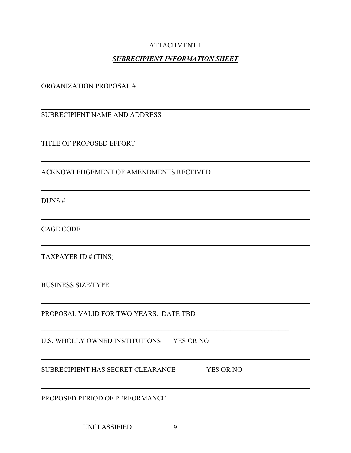### ATTACHMENT 1

## *SUBRECIPIENT INFORMATION SHEET*

ORGANIZATION PROPOSAL #

SUBRECIPIENT NAME AND ADDRESS

TITLE OF PROPOSED EFFORT

ACKNOWLEDGEMENT OF AMENDMENTS RECEIVED

DUNS #

CAGE CODE

TAXPAYER ID # (TINS)

BUSINESS SIZE/TYPE

PROPOSAL VALID FOR TWO YEARS: DATE TBD

U.S. WHOLLY OWNED INSTITUTIONS YES OR NO

SUBRECIPIENT HAS SECRET CLEARANCE YES OR NO

PROPOSED PERIOD OF PERFORMANCE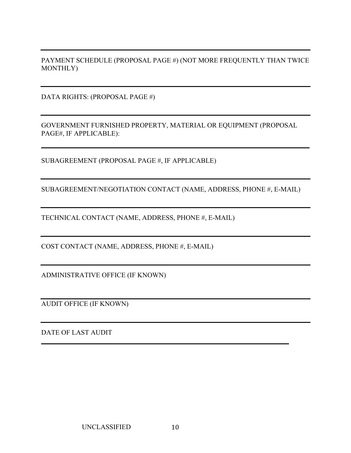PAYMENT SCHEDULE (PROPOSAL PAGE #) (NOT MORE FREQUENTLY THAN TWICE MONTHLY)

DATA RIGHTS: (PROPOSAL PAGE #)

GOVERNMENT FURNISHED PROPERTY, MATERIAL OR EQUIPMENT (PROPOSAL PAGE#, IF APPLICABLE):

SUBAGREEMENT (PROPOSAL PAGE #, IF APPLICABLE)

SUBAGREEMENT/NEGOTIATION CONTACT (NAME, ADDRESS, PHONE #, E-MAIL)

TECHNICAL CONTACT (NAME, ADDRESS, PHONE #, E-MAIL)

COST CONTACT (NAME, ADDRESS, PHONE #, E-MAIL)

ADMINISTRATIVE OFFICE (IF KNOWN)

AUDIT OFFICE (IF KNOWN)

DATE OF LAST AUDIT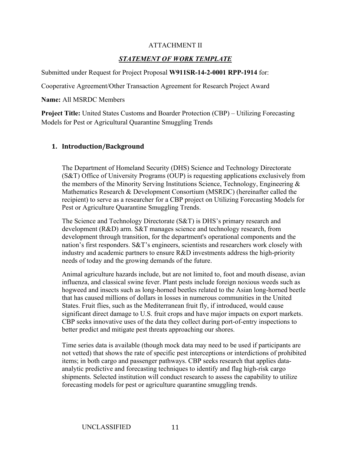### ATTACHMENT II

## *STATEMENT OF WORK TEMPLATE*

Submitted under Request for Project Proposal **W911SR-14-2-0001 RPP-1914** for:

Cooperative Agreement/Other Transaction Agreement for Research Project Award

**Name:** All MSRDC Members

**Project Title:** United States Customs and Boarder Protection (CBP) – Utilizing Forecasting Models for Pest or Agricultural Quarantine Smuggling Trends

### **1. Introduction/Background**

The Department of Homeland Security (DHS) Science and Technology Directorate (S&T) Office of University Programs (OUP) is requesting applications exclusively from the members of the Minority Serving Institutions Science, Technology, Engineering & Mathematics Research & Development Consortium (MSRDC) (hereinafter called the recipient) to serve as a researcher for a CBP project on Utilizing Forecasting Models for Pest or Agriculture Quarantine Smuggling Trends.

The Science and Technology Directorate (S&T) is DHS's primary research and development (R&D) arm. S&T manages science and technology research, from development through transition, for the department's operational components and the nation's first responders. S&T's engineers, scientists and researchers work closely with industry and academic partners to ensure R&D investments address the high-priority needs of today and the growing demands of the future.

Animal agriculture hazards include, but are not limited to, foot and mouth disease, avian influenza, and classical swine fever. Plant pests include foreign noxious weeds such as hogweed and insects such as long-horned beetles related to the Asian long-horned beetle that has caused millions of dollars in losses in numerous communities in the United States. Fruit flies, such as the Mediterranean fruit fly, if introduced, would cause significant direct damage to U.S. fruit crops and have major impacts on export markets. CBP seeks innovative uses of the data they collect during port-of-entry inspections to better predict and mitigate pest threats approaching our shores.

Time series data is available (though mock data may need to be used if participants are not vetted) that shows the rate of specific pest interceptions or interdictions of prohibited items; in both cargo and passenger pathways. CBP seeks research that applies dataanalytic predictive and forecasting techniques to identify and flag high-risk cargo shipments. Selected institution will conduct research to assess the capability to utilize forecasting models for pest or agriculture quarantine smuggling trends.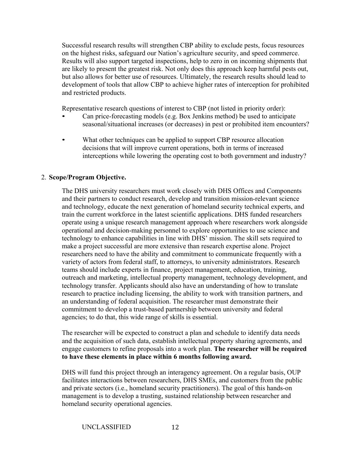Successful research results will strengthen CBP ability to exclude pests, focus resources on the highest risks, safeguard our Nation's agriculture security, and speed commerce. Results will also support targeted inspections, help to zero in on incoming shipments that are likely to present the greatest risk. Not only does this approach keep harmful pests out, but also allows for better use of resources. Ultimately, the research results should lead to development of tools that allow CBP to achieve higher rates of interception for prohibited and restricted products.

Representative research questions of interest to CBP (not listed in priority order):

- Can price-forecasting models (e.g. Box Jenkins method) be used to anticipate seasonal/situational increases (or decreases) in pest or prohibited item encounters?
- What other techniques can be applied to support CBP resource allocation decisions that will improve current operations, both in terms of increased interceptions while lowering the operating cost to both government and industry?

### 2. **Scope/Program Objective.**

The DHS university researchers must work closely with DHS Offices and Components and their partners to conduct research, develop and transition mission-relevant science and technology, educate the next generation of homeland security technical experts, and train the current workforce in the latest scientific applications. DHS funded researchers operate using a unique research management approach where researchers work alongside operational and decision-making personnel to explore opportunities to use science and technology to enhance capabilities in line with DHS' mission. The skill sets required to make a project successful are more extensive than research expertise alone. Project researchers need to have the ability and commitment to communicate frequently with a variety of actors from federal staff, to attorneys, to university administrators. Research teams should include experts in finance, project management, education, training, outreach and marketing, intellectual property management, technology development, and technology transfer. Applicants should also have an understanding of how to translate research to practice including licensing, the ability to work with transition partners, and an understanding of federal acquisition. The researcher must demonstrate their commitment to develop a trust-based partnership between university and federal agencies; to do that, this wide range of skills is essential.

The researcher will be expected to construct a plan and schedule to identify data needs and the acquisition of such data, establish intellectual property sharing agreements, and engage customers to refine proposals into a work plan. **The researcher will be required to have these elements in place within 6 months following award.** 

DHS will fund this project through an interagency agreement. On a regular basis, OUP facilitates interactions between researchers, DHS SMEs, and customers from the public and private sectors (i.e., homeland security practitioners). The goal of this hands-on management is to develop a trusting, sustained relationship between researcher and homeland security operational agencies.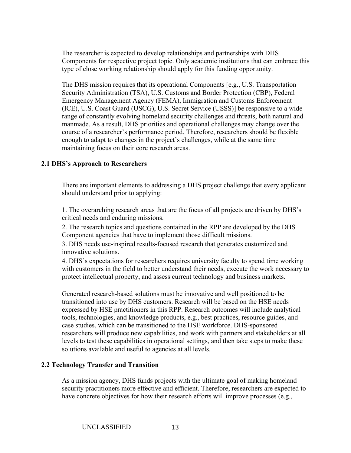The researcher is expected to develop relationships and partnerships with DHS Components for respective project topic. Only academic institutions that can embrace this type of close working relationship should apply for this funding opportunity.

The DHS mission requires that its operational Components [e.g., U.S. Transportation Security Administration (TSA), U.S. Customs and Border Protection (CBP), Federal Emergency Management Agency (FEMA), Immigration and Customs Enforcement (ICE), U.S. Coast Guard (USCG), U.S. Secret Service (USSS)] be responsive to a wide range of constantly evolving homeland security challenges and threats, both natural and manmade. As a result, DHS priorities and operational challenges may change over the course of a researcher's performance period. Therefore, researchers should be flexible enough to adapt to changes in the project's challenges, while at the same time maintaining focus on their core research areas.

### **2.1 DHS's Approach to Researchers**

There are important elements to addressing a DHS project challenge that every applicant should understand prior to applying:

1. The overarching research areas that are the focus of all projects are driven by DHS's critical needs and enduring missions.

2. The research topics and questions contained in the RPP are developed by the DHS Component agencies that have to implement those difficult missions.

3. DHS needs use-inspired results-focused research that generates customized and innovative solutions.

4. DHS's expectations for researchers requires university faculty to spend time working with customers in the field to better understand their needs, execute the work necessary to protect intellectual property, and assess current technology and business markets.

Generated research-based solutions must be innovative and well positioned to be transitioned into use by DHS customers. Research will be based on the HSE needs expressed by HSE practitioners in this RPP. Research outcomes will include analytical tools, technologies, and knowledge products, e.g., best practices, resource guides, and case studies, which can be transitioned to the HSE workforce. DHS-sponsored researchers will produce new capabilities, and work with partners and stakeholders at all levels to test these capabilities in operational settings, and then take steps to make these solutions available and useful to agencies at all levels.

#### **2.2 Technology Transfer and Transition**

As a mission agency, DHS funds projects with the ultimate goal of making homeland security practitioners more effective and efficient. Therefore, researchers are expected to have concrete objectives for how their research efforts will improve processes (e.g.,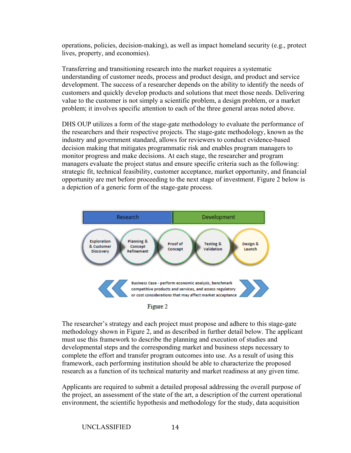operations, policies, decision-making), as well as impact homeland security (e.g., protect lives, property, and economies).

Transferring and transitioning research into the market requires a systematic understanding of customer needs, process and product design, and product and service development. The success of a researcher depends on the ability to identify the needs of customers and quickly develop products and solutions that meet those needs. Delivering value to the customer is not simply a scientific problem, a design problem, or a market problem; it involves specific attention to each of the three general areas noted above.

DHS OUP utilizes a form of the stage-gate methodology to evaluate the performance of the researchers and their respective projects. The stage-gate methodology, known as the industry and government standard, allows for reviewers to conduct evidence-based decision making that mitigates programmatic risk and enables program managers to monitor progress and make decisions. At each stage, the researcher and program managers evaluate the project status and ensure specific criteria such as the following: strategic fit, technical feasibility, customer acceptance, market opportunity, and financial opportunity are met before proceeding to the next stage of investment. Figure 2 below is a depiction of a generic form of the stage-gate process.





The researcher's strategy and each project must propose and adhere to this stage-gate methodology shown in Figure 2, and as described in further detail below. The applicant must use this framework to describe the planning and execution of studies and developmental steps and the corresponding market and business steps necessary to complete the effort and transfer program outcomes into use. As a result of using this framework, each performing institution should be able to characterize the proposed research as a function of its technical maturity and market readiness at any given time.

Applicants are required to submit a detailed proposal addressing the overall purpose of the project, an assessment of the state of the art, a description of the current operational environment, the scientific hypothesis and methodology for the study, data acquisition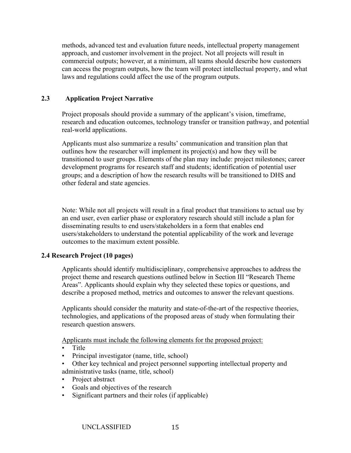methods, advanced test and evaluation future needs, intellectual property management approach, and customer involvement in the project. Not all projects will result in commercial outputs; however, at a minimum, all teams should describe how customers can access the program outputs, how the team will protect intellectual property, and what laws and regulations could affect the use of the program outputs.

### **2.3 Application Project Narrative**

Project proposals should provide a summary of the applicant's vision, timeframe, research and education outcomes, technology transfer or transition pathway, and potential real-world applications.

Applicants must also summarize a results' communication and transition plan that outlines how the researcher will implement its project(s) and how they will be transitioned to user groups. Elements of the plan may include: project milestones; career development programs for research staff and students; identification of potential user groups; and a description of how the research results will be transitioned to DHS and other federal and state agencies.

Note: While not all projects will result in a final product that transitions to actual use by an end user, even earlier phase or exploratory research should still include a plan for disseminating results to end users/stakeholders in a form that enables end users/stakeholders to understand the potential applicability of the work and leverage outcomes to the maximum extent possible.

### **2.4 Research Project (10 pages)**

Applicants should identify multidisciplinary, comprehensive approaches to address the project theme and research questions outlined below in Section III "Research Theme Areas". Applicants should explain why they selected these topics or questions, and describe a proposed method, metrics and outcomes to answer the relevant questions.

Applicants should consider the maturity and state-of-the-art of the respective theories, technologies, and applications of the proposed areas of study when formulating their research question answers.

Applicants must include the following elements for the proposed project:

- Title
- Principal investigator (name, title, school)
- Other key technical and project personnel supporting intellectual property and administrative tasks (name, title, school)
- Project abstract
- Goals and objectives of the research
- Significant partners and their roles (if applicable)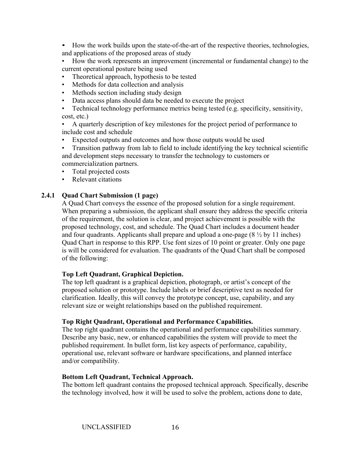• How the work builds upon the state-of-the-art of the respective theories, technologies, and applications of the proposed areas of study

• How the work represents an improvement (incremental or fundamental change) to the current operational posture being used

- Theoretical approach, hypothesis to be tested
- Methods for data collection and analysis
- Methods section including study design
- Data access plans should data be needed to execute the project
- Technical technology performance metrics being tested (e.g. specificity, sensitivity, cost, etc.)

• A quarterly description of key milestones for the project period of performance to include cost and schedule

• Expected outputs and outcomes and how those outputs would be used

• Transition pathway from lab to field to include identifying the key technical scientific and development steps necessary to transfer the technology to customers or commercialization partners.

- Total projected costs
- Relevant citations

### **2.4.1 Quad Chart Submission (1 page)**

A Quad Chart conveys the essence of the proposed solution for a single requirement. When preparing a submission, the applicant shall ensure they address the specific criteria of the requirement, the solution is clear, and project achievement is possible with the proposed technology, cost, and schedule. The Quad Chart includes a document header and four quadrants. Applicants shall prepare and upload a one-page  $(8 \frac{1}{2} \text{ by } 11 \text{ inches})$ Quad Chart in response to this RPP. Use font sizes of 10 point or greater. Only one page is will be considered for evaluation. The quadrants of the Quad Chart shall be composed of the following:

#### **Top Left Quadrant, Graphical Depiction.**

The top left quadrant is a graphical depiction, photograph, or artist's concept of the proposed solution or prototype. Include labels or brief descriptive text as needed for clarification. Ideally, this will convey the prototype concept, use, capability, and any relevant size or weight relationships based on the published requirement.

#### **Top Right Quadrant, Operational and Performance Capabilities.**

The top right quadrant contains the operational and performance capabilities summary. Describe any basic, new, or enhanced capabilities the system will provide to meet the published requirement. In bullet form, list key aspects of performance, capability, operational use, relevant software or hardware specifications, and planned interface and/or compatibility.

#### **Bottom Left Quadrant, Technical Approach.**

The bottom left quadrant contains the proposed technical approach. Specifically, describe the technology involved, how it will be used to solve the problem, actions done to date,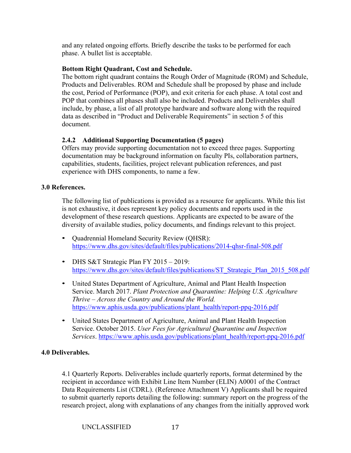and any related ongoing efforts. Briefly describe the tasks to be performed for each phase. A bullet list is acceptable.

### **Bottom Right Quadrant, Cost and Schedule.**

The bottom right quadrant contains the Rough Order of Magnitude (ROM) and Schedule, Products and Deliverables. ROM and Schedule shall be proposed by phase and include the cost, Period of Performance (POP), and exit criteria for each phase. A total cost and POP that combines all phases shall also be included. Products and Deliverables shall include, by phase, a list of all prototype hardware and software along with the required data as described in "Product and Deliverable Requirements" in section 5 of this document.

### **2.4.2 Additional Supporting Documentation (5 pages)**

Offers may provide supporting documentation not to exceed three pages. Supporting documentation may be background information on faculty PIs, collaboration partners, capabilities, students, facilities, project relevant publication references, and past experience with DHS components, to name a few.

### **3.0 References.**

The following list of publications is provided as a resource for applicants. While this list is not exhaustive, it does represent key policy documents and reports used in the development of these research questions. Applicants are expected to be aware of the diversity of available studies, policy documents, and findings relevant to this project.

- Quadrennial Homeland Security Review (QHSR): https://www.dhs.gov/sites/default/files/publications/2014-qhsr-final-508.pdf
- DHS S&T Strategic Plan FY 2015 2019: https://www.dhs.gov/sites/default/files/publications/ST\_Strategic\_Plan\_2015\_508.pdf
- United States Department of Agriculture, Animal and Plant Health Inspection Service. March 2017. *Plant Protection and Quarantine: Helping U.S. Agriculture Thrive – Across the Country and Around the World.* https://www.aphis.usda.gov/publications/plant\_health/report-ppq-2016.pdf
- United States Department of Agriculture, Animal and Plant Health Inspection Service. October 2015. *User Fees for Agricultural Quarantine and Inspection Services*. https://www.aphis.usda.gov/publications/plant\_health/report-ppq-2016.pdf

### **4.0 Deliverables.**

4.1 Quarterly Reports. Deliverables include quarterly reports, format determined by the recipient in accordance with Exhibit Line Item Number (ELIN) A0001 of the Contract Data Requirements List (CDRL). (Reference Attachment V) Applicants shall be required to submit quarterly reports detailing the following: summary report on the progress of the research project, along with explanations of any changes from the initially approved work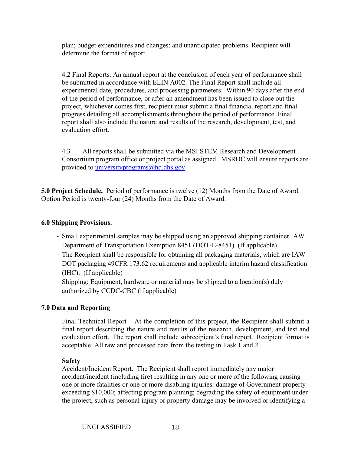plan; budget expenditures and changes; and unanticipated problems. Recipient will determine the format of report.

4.2 Final Reports. An annual report at the conclusion of each year of performance shall be submitted in accordance with ELIN A002. The Final Report shall include all experimental date, procedures, and processing parameters. Within 90 days after the end of the period of performance, or after an amendment has been issued to close out the project, whichever comes first, recipient must submit a final financial report and final progress detailing all accomplishments throughout the period of performance. Final report shall also include the nature and results of the research, development, test, and evaluation effort.

4.3 All reports shall be submitted via the MSI STEM Research and Development Consortium program office or project portal as assigned. MSRDC will ensure reports are provided to universityprograms@hq.dhs.gov.

**5.0 Project Schedule.** Period of performance is twelve (12) Months from the Date of Award. Option Period is twenty-four (24) Months from the Date of Award.

### **6.0 Shipping Provisions.**

- ‐ Small experimental samples may be shipped using an approved shipping container IAW Department of Transportation Exemption 8451 (DOT-E-8451). (If applicable)
- ‐ The Recipient shall be responsible for obtaining all packaging materials, which are IAW DOT packaging 49CFR 173.62 requirements and applicable interim hazard classification (IHC). (If applicable)
- ‐ Shipping: Equipment, hardware or material may be shipped to a location(s) duly authorized by CCDC-CBC (if applicable)

#### **7.0 Data and Reporting**

Final Technical Report – At the completion of this project, the Recipient shall submit a final report describing the nature and results of the research, development, and test and evaluation effort. The report shall include subrecipient's final report. Recipient format is acceptable. All raw and processed data from the testing in Task 1 and 2.

#### **Safety**

Accident/Incident Report. The Recipient shall report immediately any major accident/incident (including fire) resulting in any one or more of the following causing one or more fatalities or one or more disabling injuries: damage of Government property exceeding \$10,000; affecting program planning; degrading the safety of equipment under the project, such as personal injury or property damage may be involved or identifying a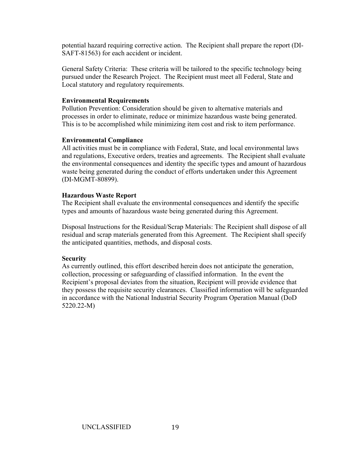potential hazard requiring corrective action. The Recipient shall prepare the report (DI-SAFT-81563) for each accident or incident.

General Safety Criteria: These criteria will be tailored to the specific technology being pursued under the Research Project. The Recipient must meet all Federal, State and Local statutory and regulatory requirements.

#### **Environmental Requirements**

Pollution Prevention: Consideration should be given to alternative materials and processes in order to eliminate, reduce or minimize hazardous waste being generated. This is to be accomplished while minimizing item cost and risk to item performance.

### **Environmental Compliance**

All activities must be in compliance with Federal, State, and local environmental laws and regulations, Executive orders, treaties and agreements. The Recipient shall evaluate the environmental consequences and identity the specific types and amount of hazardous waste being generated during the conduct of efforts undertaken under this Agreement (DI-MGMT-80899).

### **Hazardous Waste Report**

The Recipient shall evaluate the environmental consequences and identify the specific types and amounts of hazardous waste being generated during this Agreement.

Disposal Instructions for the Residual/Scrap Materials: The Recipient shall dispose of all residual and scrap materials generated from this Agreement. The Recipient shall specify the anticipated quantities, methods, and disposal costs.

#### **Security**

As currently outlined, this effort described herein does not anticipate the generation, collection, processing or safeguarding of classified information. In the event the Recipient's proposal deviates from the situation, Recipient will provide evidence that they possess the requisite security clearances. Classified information will be safeguarded in accordance with the National Industrial Security Program Operation Manual (DoD 5220.22-M)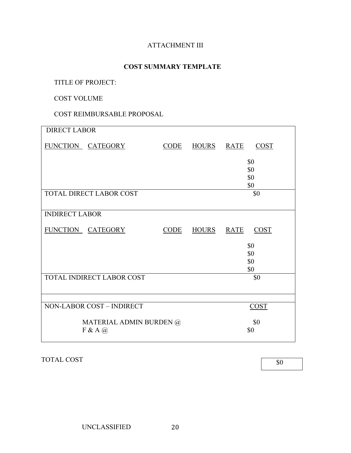# ATTACHMENT III

### **COST SUMMARY TEMPLATE**

TITLE OF PROJECT:

COST VOLUME

COST REIMBURSABLE PROPOSAL

| <b>DIRECT LABOR</b>     |                                |                   |              |             |             |  |  |
|-------------------------|--------------------------------|-------------------|--------------|-------------|-------------|--|--|
|                         | FUNCTION CATEGORY              | $\overline{CODE}$ | <b>HOURS</b> | <b>RATE</b> | COST        |  |  |
|                         |                                |                   |              |             | \$0         |  |  |
|                         |                                |                   | \$0          |             |             |  |  |
|                         |                                | \$0<br>\$0        |              |             |             |  |  |
|                         | <b>TOTAL DIRECT LABOR COST</b> |                   |              |             | \$0         |  |  |
|                         |                                |                   |              |             |             |  |  |
| <b>INDIRECT LABOR</b>   |                                |                   |              |             |             |  |  |
|                         | FUNCTION CATEGORY              | CODE              | HOURS RATE   |             | <b>COST</b> |  |  |
|                         |                                |                   |              |             | \$0         |  |  |
|                         |                                |                   | \$0          |             |             |  |  |
|                         |                                |                   |              |             | \$0<br>\$0  |  |  |
|                         | TOTAL INDIRECT LABOR COST      |                   |              |             | \$0         |  |  |
|                         |                                |                   |              |             |             |  |  |
|                         |                                |                   |              |             |             |  |  |
|                         | NON-LABOR COST - INDIRECT      |                   | COST         |             |             |  |  |
| MATERIAL ADMIN BURDEN @ |                                | \$0               |              |             |             |  |  |
|                         | $F & A$ (a)                    |                   |              | \$0         |             |  |  |

TOTAL COST

\$0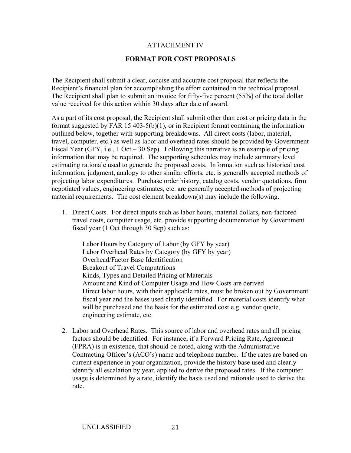### ATTACHMENT IV

#### **FORMAT FOR COST PROPOSALS**

The Recipient shall submit a clear, concise and accurate cost proposal that reflects the Recipient's financial plan for accomplishing the effort contained in the technical proposal. The Recipient shall plan to submit an invoice for fifty-five percent (55%) of the total dollar value received for this action within 30 days after date of award.

As a part of its cost proposal, the Recipient shall submit other than cost or pricing data in the format suggested by FAR 15 403-5(b)(1), or in Recipient format containing the information outlined below, together with supporting breakdowns. All direct costs (labor, material, travel, computer, etc.) as well as labor and overhead rates should be provided by Government Fiscal Year (GFY, i.e., 1 Oct – 30 Sep). Following this narrative is an example of pricing information that may be required. The supporting schedules may include summary level estimating rationale used to generate the proposed costs. Information such as historical cost information, judgment, analogy to other similar efforts, etc. is generally accepted methods of projecting labor expenditures. Purchase order history, catalog costs, vendor quotations, firm negotiated values, engineering estimates, etc. are generally accepted methods of projecting material requirements. The cost element breakdown(s) may include the following.

1. Direct Costs. For direct inputs such as labor hours, material dollars, non-factored travel costs, computer usage, etc. provide supporting documentation by Government fiscal year (1 Oct through 30 Sep) such as:

Labor Hours by Category of Labor (by GFY by year) Labor Overhead Rates by Category (by GFY by year) Overhead/Factor Base Identification Breakout of Travel Computations Kinds, Types and Detailed Pricing of Materials Amount and Kind of Computer Usage and How Costs are derived Direct labor hours, with their applicable rates, must be broken out by Government fiscal year and the bases used clearly identified. For material costs identify what will be purchased and the basis for the estimated cost e.g. vendor quote, engineering estimate, etc.

2. Labor and Overhead Rates. This source of labor and overhead rates and all pricing factors should be identified. For instance, if a Forward Pricing Rate, Agreement (FPRA) is in existence, that should be noted, along with the Administrative Contracting Officer's (ACO's) name and telephone number. If the rates are based on current experience in your organization, provide the history base used and clearly identify all escalation by year, applied to derive the proposed rates. If the computer usage is determined by a rate, identify the basis used and rationale used to derive the rate.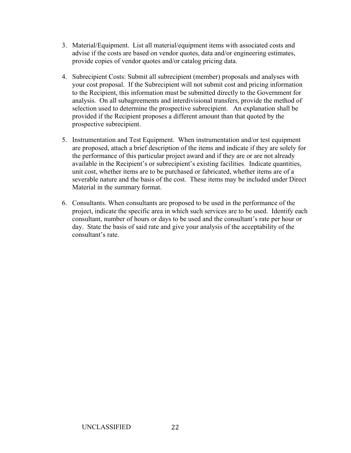- 3. Material/Equipment. List all material/equipment items with associated costs and advise if the costs are based on vendor quotes, data and/or engineering estimates, provide copies of vendor quotes and/or catalog pricing data.
- 4. Subrecipient Costs: Submit all subrecipient (member) proposals and analyses with your cost proposal. If the Subrecipient will not submit cost and pricing information to the Recipient, this information must be submitted directly to the Government for analysis. On all subagreements and interdivisional transfers, provide the method of selection used to determine the prospective subrecipient. An explanation shall be provided if the Recipient proposes a different amount than that quoted by the prospective subrecipient.
- 5. Instrumentation and Test Equipment. When instrumentation and/or test equipment are proposed, attach a brief description of the items and indicate if they are solely for the performance of this particular project award and if they are or are not already available in the Recipient's or subrecipient's existing facilities. Indicate quantities, unit cost, whether items are to be purchased or fabricated, whether items are of a severable nature and the basis of the cost. These items may be included under Direct Material in the summary format.
- 6. Consultants. When consultants are proposed to be used in the performance of the project, indicate the specific area in which such services are to be used. Identify each consultant, number of hours or days to be used and the consultant's rate per hour or day. State the basis of said rate and give your analysis of the acceptability of the consultant's rate.